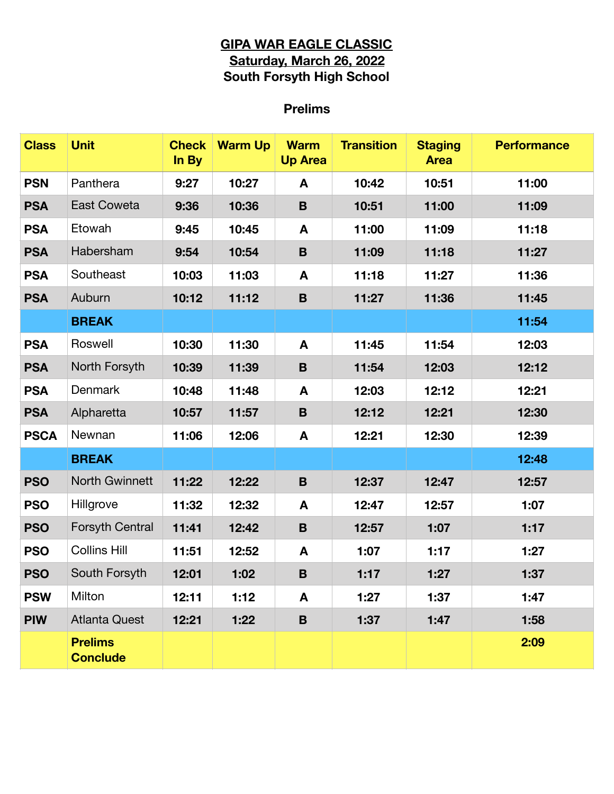## **GIPA WAR EAGLE CLASSIC Saturday, March 26, 2022 South Forsyth High School**

## **Prelims**

| <b>Class</b> | <b>Unit</b>                       | <b>Check</b><br>In By | <b>Warm Up</b> | <b>Warm</b><br><b>Up Area</b> | <b>Transition</b> | <b>Staging</b><br><b>Area</b> | <b>Performance</b> |
|--------------|-----------------------------------|-----------------------|----------------|-------------------------------|-------------------|-------------------------------|--------------------|
| <b>PSN</b>   | Panthera                          | 9:27                  | 10:27          | A                             | 10:42             | 10:51                         | 11:00              |
| <b>PSA</b>   | <b>East Coweta</b>                | 9:36                  | 10:36          | $\mathbf B$                   | 10:51             | 11:00                         | 11:09              |
| <b>PSA</b>   | Etowah                            | 9:45                  | 10:45          | A                             | 11:00             | 11:09                         | 11:18              |
| <b>PSA</b>   | Habersham                         | 9:54                  | 10:54          | B                             | 11:09             | 11:18                         | 11:27              |
| <b>PSA</b>   | Southeast                         | 10:03                 | 11:03          | A                             | 11:18             | 11:27                         | 11:36              |
| <b>PSA</b>   | Auburn                            | 10:12                 | 11:12          | $\mathbf B$                   | 11:27             | 11:36                         | 11:45              |
|              | <b>BREAK</b>                      |                       |                |                               |                   |                               | 11:54              |
| <b>PSA</b>   | Roswell                           | 10:30                 | 11:30          | A                             | 11:45             | 11:54                         | 12:03              |
| <b>PSA</b>   | North Forsyth                     | 10:39                 | 11:39          | $\mathbf B$                   | 11:54             | 12:03                         | 12:12              |
| <b>PSA</b>   | Denmark                           | 10:48                 | 11:48          | A                             | 12:03             | 12:12                         | 12:21              |
| <b>PSA</b>   | Alpharetta                        | 10:57                 | 11:57          | B                             | 12:12             | 12:21                         | 12:30              |
| <b>PSCA</b>  | Newnan                            | 11:06                 | 12:06          | A                             | 12:21             | 12:30                         | 12:39              |
|              | <b>BREAK</b>                      |                       |                |                               |                   |                               | 12:48              |
| <b>PSO</b>   | <b>North Gwinnett</b>             | 11:22                 | 12:22          | $\mathbf B$                   | 12:37             | 12:47                         | 12:57              |
| <b>PSO</b>   | Hillgrove                         | 11:32                 | 12:32          | A                             | 12:47             | 12:57                         | 1:07               |
| <b>PSO</b>   | <b>Forsyth Central</b>            | 11:41                 | 12:42          | B                             | 12:57             | 1:07                          | 1:17               |
| <b>PSO</b>   | <b>Collins Hill</b>               | 11:51                 | 12:52          | A                             | 1:07              | 1:17                          | 1:27               |
| <b>PSO</b>   | South Forsyth                     | 12:01                 | 1:02           | B                             | 1:17              | 1:27                          | 1:37               |
| <b>PSW</b>   | Milton                            | 12:11                 | 1:12           | A                             | 1:27              | 1:37                          | 1:47               |
| <b>PIW</b>   | <b>Atlanta Quest</b>              | 12:21                 | 1:22           | B                             | 1:37              | 1:47                          | 1:58               |
|              | <b>Prelims</b><br><b>Conclude</b> |                       |                |                               |                   |                               | 2:09               |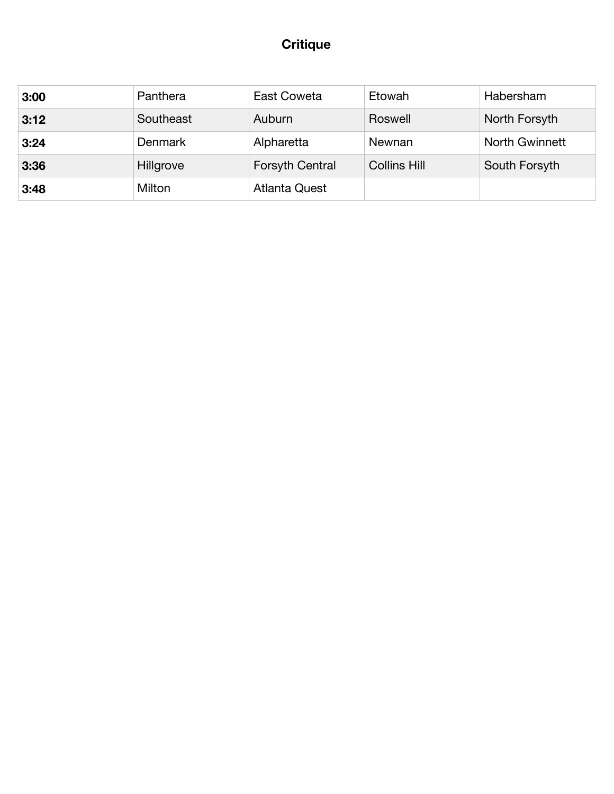# **Critique**

| 3:00 | Panthera       | East Coweta            | Etowah              | Habersham             |
|------|----------------|------------------------|---------------------|-----------------------|
| 3:12 | Southeast      | Auburn                 | Roswell             | North Forsyth         |
| 3:24 | <b>Denmark</b> | Alpharetta             | Newnan              | <b>North Gwinnett</b> |
| 3:36 | Hillgrove      | <b>Forsyth Central</b> | <b>Collins Hill</b> | South Forsyth         |
| 3:48 | Milton         | <b>Atlanta Quest</b>   |                     |                       |